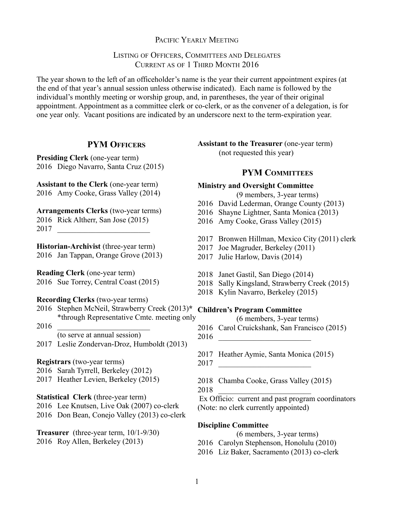### PACIFIC YEARLY MEETING

### LISTING OF OFFICERS, COMMITTEES AND DELEGATES CURRENT AS OF 1 THIRD MONTH 2016

The year shown to the left of an officeholder's name is the year their current appointment expires (at the end of that year's annual session unless otherwise indicated). Each name is followed by the individual's monthly meeting or worship group, and, in parentheses, the year of their original appointment. Appointment as a committee clerk or co-clerk, or as the convener of a delegation, is for one year only. Vacant positions are indicated by an underscore next to the term-expiration year.

### **PYM OFFICERS**

**Presiding Clerk** (one-year term) 2016 Diego Navarro, Santa Cruz (2015)

**Assistant to the Clerk** (one-year term) 2016 Amy Cooke, Grass Valley (2014)

**Arrangements Clerks** (two-year terms) 2016 Rick Altherr, San Jose (2015) 2017 \_\_\_\_\_\_\_\_\_\_\_\_\_\_\_\_\_\_\_\_\_\_\_\_

**Historian-Archivist** (three-year term) 2016 Jan Tappan, Orange Grove (2013)

**Reading Clerk** (one-year term) 2016 Sue Torrey, Central Coast (2015)

#### **Recording Clerks** (two-year terms)

2016 Stephen McNeil, Strawberry Creek (2013)**\* Children's Program Committee** \*through Representative Cmte. meeting only

2016 \_\_\_\_\_\_\_\_\_\_\_\_\_\_\_\_\_\_\_\_\_\_\_\_ (to serve at annual session)

2017 Leslie Zondervan-Droz, Humboldt (2013)

#### **Registrars** (two-year terms)

- 2016 Sarah Tyrrell, Berkeley (2012)
- 2017 Heather Levien, Berkeley (2015)

#### **Statistical Clerk** (three-year term)

2016 Lee Knutsen, Live Oak (2007) co-clerk 2016 Don Bean, Conejo Valley (2013) co-clerk

**Treasurer** (three-year term, 10/1-9/30) 2016 Roy Allen, Berkeley (2013)

**Assistant to the Treasurer** (one-year term) (not requested this year)

#### **PYM COMMITTEES**

### **Ministry and Oversight Committee**

(9 members, 3-year terms)

- 2016 David Lederman, Orange County (2013)
- 2016 Shayne Lightner, Santa Monica (2013)
- 2016 Amy Cooke, Grass Valley (2015)
- 2017 Bronwen Hillman, Mexico City (2011) clerk
- 2017 Joe Magruder, Berkeley (2011)
- 2017 Julie Harlow, Davis (2014)
- 2018 Janet Gastil, San Diego (2014)
- 2018 Sally Kingsland, Strawberry Creek (2015)
- 2018 Kylin Navarro, Berkeley (2015)

- (6 members, 3-year terms)
- 2016 Carol Cruickshank, San Francisco (2015)
- 2016 \_\_\_\_\_\_\_\_\_\_\_\_\_\_\_\_\_\_\_\_\_\_\_\_
- 2017 Heather Aymie, Santa Monica (2015)
- 2017 \_\_\_\_\_\_\_\_\_\_\_\_\_\_\_\_\_\_\_\_\_\_\_\_
- 2018 Chamba Cooke, Grass Valley (2015)
- 2018 \_\_\_\_\_\_\_\_\_\_\_\_\_\_\_\_\_\_\_\_\_\_\_\_

Ex Officio: current and past program coordinators (Note: no clerk currently appointed)

#### **Discipline Committee**

- (6 members, 3-year terms)
- 2016 Carolyn Stephenson, Honolulu (2010)
- 2016 Liz Baker, Sacramento (2013) co-clerk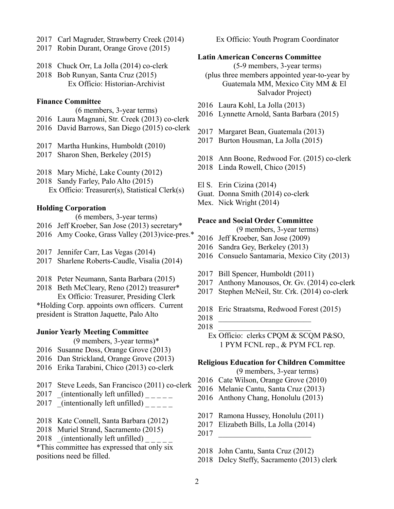- 2017 Carl Magruder, Strawberry Creek (2014)
- 2017 Robin Durant, Orange Grove (2015)
- 2018 Chuck Orr, La Jolla (2014) co-clerk
- 2018 Bob Runyan, Santa Cruz (2015) Ex Officio: Historian-Archivist

#### **Finance Committee**

- (6 members, 3-year terms)
- 2016 Laura Magnani, Str. Creek (2013) co-clerk
- 2016 David Barrows, San Diego (2015) co-clerk
- 2017 Martha Hunkins, Humboldt (2010)
- 2017 Sharon Shen, Berkeley (2015)
- 2018 Mary Miché, Lake County (2012)
- 2018 Sandy Farley, Palo Alto (2015) Ex Officio: Treasurer(s), Statistical Clerk(s)

#### **Holding Corporation**

- (6 members, 3-year terms)
- 2016 Jeff Kroeber, San Jose (2013) secretary\*
- 2016 Amy Cooke, Grass Valley (2013)vice-pres.\*
- 2017 Jennifer Carr, Las Vegas (2014)
- 2017 Sharlene Roberts-Caudle, Visalia (2014)
- 2018 Peter Neumann, Santa Barbara (2015)
- 2018 Beth McCleary, Reno (2012) treasurer\* Ex Officio: Treasurer, Presiding Clerk

\*Holding Corp. appoints own officers. Current president is Stratton Jaquette, Palo Alto

#### **Junior Yearly Meeting Committee**

- (9 members, 3-year terms)\*
- 2016 Susanne Doss, Orange Grove (2013)
- 2016 Dan Strickland, Orange Grove (2013)
- 2016 Erika Tarabini, Chico (2013) co-clerk
- 2017 Steve Leeds, San Francisco (2011) co-clerk
- 2017 (intentionally left unfilled)  $\frac{1}{2}$
- 2017 (intentionally left unfilled)  $\frac{1}{2}$
- 2018 Kate Connell, Santa Barbara (2012)
- 2018 Muriel Strand, Sacramento (2015)
- $2018$  (intentionally left unfilled)
- \*This committee has expressed that only six positions need be filled.

Ex Officio: Youth Program Coordinator

#### **Latin American Concerns Committee**

(5-9 members, 3-year terms) (plus three members appointed year-to-year by Guatemala MM, Mexico City MM & El Salvador Project)

- 2016 Laura Kohl, La Jolla (2013)
- 2016 Lynnette Arnold, Santa Barbara (2015)
- 2017 Margaret Bean, Guatemala (2013)
- 2017 Burton Housman, La Jolla (2015)
- 2018 Ann Boone, Redwood For. (2015) co-clerk
- 2018 Linda Rowell, Chico (2015)
- El S. Erin Cizina (2014)
- Guat. Donna Smith (2014) co-clerk
- Mex. Nick Wright (2014)

#### **Peace and Social Order Committee**

(9 members, 3-year terms)

- 2016 Jeff Kroeber, San Jose (2009)
- 2016 Sandra Gey, Berkeley (2013)
- 2016 Consuelo Santamaria, Mexico City (2013)
- 2017 Bill Spencer, Humboldt (2011)
- 2017 Anthony Manousos, Or. Gv. (2014) co-clerk
- 2017 Stephen McNeil, Str. Crk. (2014) co-clerk
- 2018 Eric Straatsma, Redwood Forest (2015)
- 2018 \_\_\_\_\_\_\_\_\_\_\_\_\_\_\_\_\_\_\_\_\_\_\_\_
- 2018 \_\_\_\_\_\_\_\_\_\_\_\_\_\_\_\_\_\_\_\_\_\_\_\_
	- Ex Officio: clerks CPQM & SCQM P&SO, 1 PYM FCNL rep., & PYM FCL rep.

#### **Religious Education for Children Committee**

(9 members, 3-year terms)

- 2016 Cate Wilson, Orange Grove (2010)
- 2016 Melanie Cantu, Santa Cruz (2013)
- 2016 Anthony Chang, Honolulu (2013)
- 2017 Ramona Hussey, Honolulu (2011)
- 2017 Elizabeth Bills, La Jolla (2014)
- 2017 \_\_\_\_\_\_\_\_\_\_\_\_\_\_\_\_\_\_\_\_\_\_\_\_
- 2018 John Cantu, Santa Cruz (2012)
- 2018 Delcy Steffy, Sacramento (2013) clerk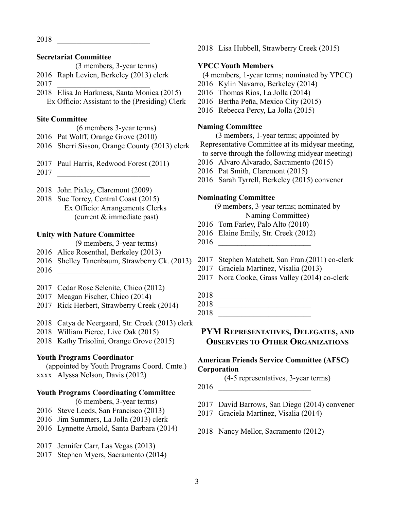\_\_\_\_\_\_\_\_\_\_\_\_\_\_\_\_\_\_\_\_\_\_\_\_

#### **Secretariat Committee**

- (3 members, 3-year terms)
- Raph Levien, Berkeley (2013) clerk
- \_\_\_\_\_\_\_\_\_\_\_\_\_\_\_\_\_\_\_\_\_\_\_\_
- Elisa Jo Harkness, Santa Monica (2015) Ex Officio: Assistant to the (Presiding) Clerk

#### **Site Committee**

(6 members 3-year terms)

- Pat Wolff, Orange Grove (2010) Sherri Sisson, Orange County (2013) clerk
- Paul Harris, Redwood Forest (2011)
- \_\_\_\_\_\_\_\_\_\_\_\_\_\_\_\_\_\_\_\_\_\_\_\_
- John Pixley, Claremont (2009)
- Sue Torrey, Central Coast (2015) Ex Officio: Arrangements Clerks (current & immediate past)

#### **Unity with Nature Committee**

(9 members, 3-year terms)

- Alice Rosenthal, Berkeley (2013)
- Shelley Tanenbaum, Strawberry Ck. (2013)
- \_\_\_\_\_\_\_\_\_\_\_\_\_\_\_\_\_\_\_\_\_\_\_\_
- Cedar Rose Selenite, Chico (2012)
- Meagan Fischer, Chico (2014)
- Rick Herbert, Strawberry Creek (2014)
- Catya de Neergaard, Str. Creek (2013) clerk
- William Pierce, Live Oak (2015)
- Kathy Trisolini, Orange Grove (2015)

### **Youth Programs Coordinator**

(appointed by Youth Programs Coord. Cmte.) xxxx Alyssa Nelson, Davis (2012)

#### **Youth Programs Coordinating Committee**

(6 members, 3-year terms)

- Steve Leeds, San Francisco (2013)
- Jim Summers, La Jolla (2013) clerk
- Lynnette Arnold, Santa Barbara (2014)
- Jennifer Carr, Las Vegas (2013)
- Stephen Myers, Sacramento (2014)

Lisa Hubbell, Strawberry Creek (2015)

#### **YPCC Youth Members**

(4 members, 1-year terms; nominated by YPCC)

- Kylin Navarro, Berkeley (2014)
- Thomas Rios, La Jolla (2014)
- Bertha Peña, Mexico City (2015)
- Rebecca Percy, La Jolla (2015)

#### **Naming Committee**

(3 members, 1-year terms; appointed by Representative Committee at its midyear meeting, to serve through the following midyear meeting)

- Alvaro Alvarado, Sacramento (2015)
- Pat Smith, Claremont (2015)
- Sarah Tyrrell, Berkeley (2015) convener

#### **Nominating Committee**

(9 members, 3-year terms; nominated by Naming Committee)

- Tom Farley, Palo Alto (2010)
- Elaine Emily, Str. Creek (2012)
- **\_\_\_\_\_\_\_\_\_\_\_\_\_\_\_\_\_\_\_\_\_\_\_\_**
- Stephen Matchett, San Fran.(2011) co-clerk
- Graciela Martinez, Visalia (2013)
- Nora Cooke, Grass Valley (2014) co-clerk
- \_\_\_\_\_\_\_\_\_\_\_\_\_\_\_\_\_\_\_\_\_\_\_\_
- \_\_\_\_\_\_\_\_\_\_\_\_\_\_\_\_\_\_\_\_\_\_\_\_
- \_\_\_\_\_\_\_\_\_\_\_\_\_\_\_\_\_\_\_\_\_\_\_\_

# **PYM REPRESENTATIVES, DELEGATES, AND OBSERVERS TO OTHER ORGANIZATIONS**

#### **American Friends Service Committee (AFSC) Corporation**

(4-5 representatives, 3-year terms)

- \_\_\_\_\_\_\_\_\_\_\_\_\_\_\_\_\_\_\_\_\_\_\_\_
- David Barrows, San Diego (2014) convener
- Graciela Martinez, Visalia (2014)
- Nancy Mellor, Sacramento (2012)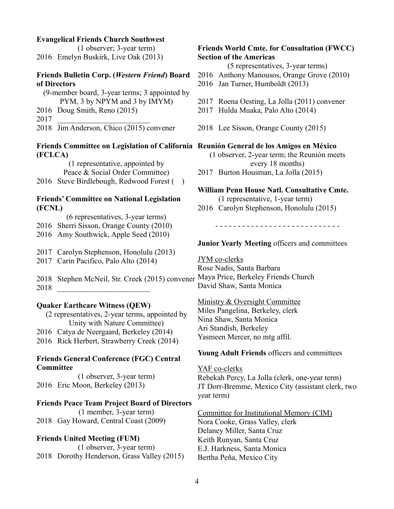#### **Evangelical Friends Church Southwest**

(1 observer; 3-year term) 2016 Emelyn Buskirk, Live Oak (2013)

#### **Friends Bulletin Corp. (***Western Friend***) Board of Directors**

| (9-member board, 3-year terms; 3 appointed by |                               |
|-----------------------------------------------|-------------------------------|
|                                               | PYM, 3 by NPYM and 3 by IMYM) |
|                                               | 2016 Doug Smith, Reno (2015)  |
| 2017                                          |                               |

2018 Jim Anderson, Chico (2015) convener

#### **Friends Committee on Legislation of California Reunión General de los Amigos en México (FCLCA)**

(1 representative, appointed by Peace & Social Order Committee) 2016 Steve Birdlebough, Redwood Forest ()

# **Friends' Committee on National Legislation**

# **(FCNL)**

- (6 representatives, 3-year terms)
- 2016 Sherri Sisson, Orange County (2010)
- 2016 Amy Southwick, Apple Seed (2010)
- 2017 Carolyn Stephenson, Honolulu (2013)
- 2017 Carin Pacifico, Palo Alto (2014)

2018 Stephen McNeil, Str. Creek (2015) convener Maya Price, Berkeley Friends Church 2018 \_\_\_\_\_\_\_\_\_\_\_\_\_\_\_\_\_\_\_\_\_\_\_\_

## **Quaker Earthcare Witness (QEW)**

(2 representatives, 2-year terms, appointed by Unity with Nature Committee) 2016 Catya de Neergaard, Berkeley (2014) 2016 Rick Herbert, Strawberry Creek (2014)

## **Friends General Conference (FGC) Central Committee**

(1 observer, 3-year term) 2016 Eric Moon, Berkeley (2013)

# **Friends Peace Team Project Board of Directors**

(1 member, 3-year term) 2018 Gay Howard, Central Coast (2009)

# **Friends United Meeting (FUM)**

(1 observer, 3-year term) 2018 Dorothy Henderson, Grass Valley (2015)

# **Friends World Cmte. for Consultation (FWCC) Section of the Americas**

(5 representatives, 3-year terms)

- 2016 Anthony Manousos, Orange Grove (2010)
- 2016 Jan Turner, Humboldt (2013)
- 2017 Roena Oesting, La Jolla (2011) convener
- 2017 Hulda Muaka, Palo Alto (2014)
- 2018 Lee Sisson, Orange County (2015)

(1 observer, 2-year term; the Reunión meets every 18 months)

2017 Burton Housman, La Jolla (2015)

# **William Penn House Natl. Consultative Cmte.**

- (1 representative, 1-year term)
- 2016 Carolyn Stephenson, Honolulu (2015)

- - - - - - - - - - - - - - - - - - - - - - - - - - - -

# **Junior Yearly Meeting** officers and committees

JYM co-clerks Rose Nadis, Santa Barbara David Shaw, Santa Monica

Ministry & Oversight Committee Miles Pangelina, Berkeley, clerk Nina Shaw, Santa Monica Ari Standish, Berkeley Yasmeen Mercer, no mtg affil.

# **Young Adult Friends** officers and committees

YAF co-clerks

Rebekah Percy, La Jolla (clerk, one-year term) JT Dorr-Bremme, Mexico City (assistant clerk, two year term)

Committee for Institutional Memory (CIM) Nora Cooke, Grass Valley, clerk Delaney Miller, Santa Cruz Keith Runyan, Santa Cruz E.J. Harkness, Santa Monica Bertha Peña, Mexico City